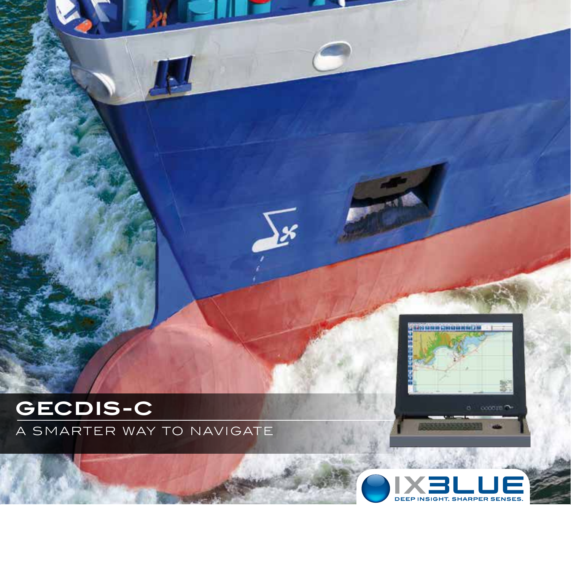

a smarter way to navigate

 $\sqrt{\frac{1}{2}}$ 



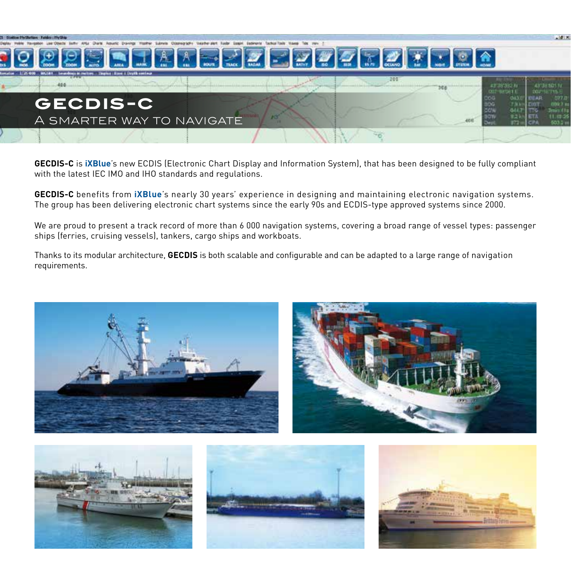

**GECDIS-C** is **iXBlue**'s new ECDIS (Electronic Chart Display and Information System), that has been designed to be fully compliant with the latest IEC IMO and IHO standards and regulations.

**GECDIS-C** benefits from **iXBlue**'s nearly 30 years' experience in designing and maintaining electronic navigation systems. The group has been delivering electronic chart systems since the early 90s and ECDIS-type approved systems since 2000.

We are proud to present a track record of more than 6 000 navigation systems, covering a broad range of vessel types: passenger ships (ferries, cruising vessels), tankers, cargo ships and workboats.

Thanks to its modular architecture, **GECDIS** is both scalable and configurable and can be adapted to a large range of navigation requirements.









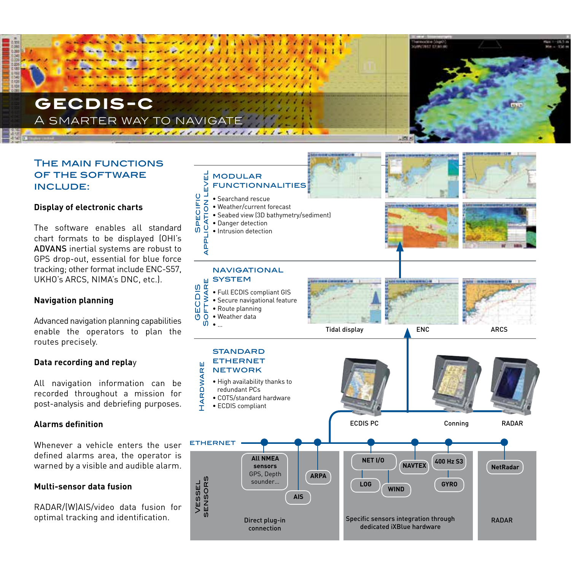# **gecdis-c** A SMARTER WAY TO NAVIGAT

# The main functions of the software include:

## **Display of electronic charts**

The software enables all standard chart formats to be displayed (OHI's ADVANS inertial systems are robust to GPS drop-out, essential for blue force tracking; other format include ENC-S57, UKHO's ARCS, NIMA's DNC, etc.).

## **Navigation planning**

Advanced navigation planning capabilities enable the operators to plan the routes precisely.

## **Data recording and repla**y

All navigation information can be recorded throughout a mission for post-analysis and debriefing purposes.

## **Alarms definition**

Whenever a vehicle enters the user defined alarms area, the operator is warned by a visible and audible alarm.

## **Multi-sensor data fusion**

RADAR/(W)AIS/video data fusion for optimal tracking and identification.

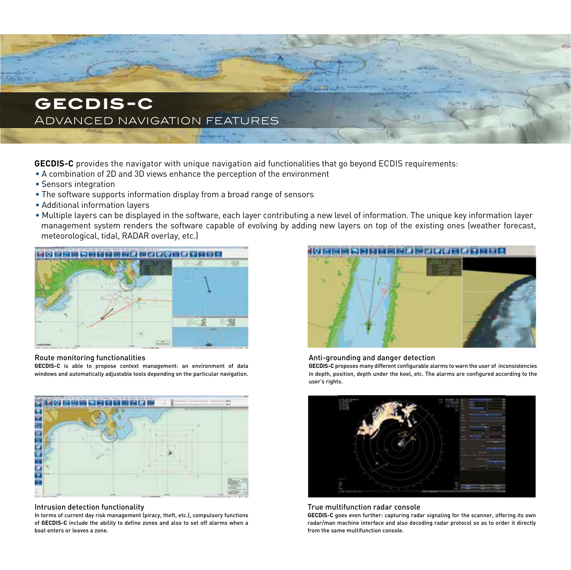

**GECDIS-C** provides the navigator with unique navigation aid functionalities that go beyond ECDIS requirements:

- A combination of 2D and 3D views enhance the perception of the environment
- Sensors integration
- The software supports information display from a broad range of sensors
- Additional information layers
- Multiple layers can be displayed in the software, each layer contributing a new level of information. The unique key information layer management system renders the software capable of evolving by adding new layers on top of the existing ones (weather forecast, meteorological, tidal, RADAR overlay, etc.)



#### Route monitoring functionalities

**GECDIS-C** is able to propose context management: an environment of data windows and automatically adjustable tools depending on the particular navigation.



#### Intrusion detection functionality

In terms of current day risk management (piracy, theft, etc.), compulsory functions of **GECDIS-C** include the ability to define zones and also to set off alarms when a boat enters or leaves a zone.



### Anti-grounding and danger detection

**GECDIS-C** proposes many different configurable alarms to warn the user of inconsistencies in depth, position, depth under the keel, etc. The alarms are configured according to the user's rights.



#### True multifunction radar console

**GECDIS-C** goes even further: capturing radar signaling for the scanner, offering its own radar/man machine interface and also decoding radar protocol so as to order it directly from the same multifunction console.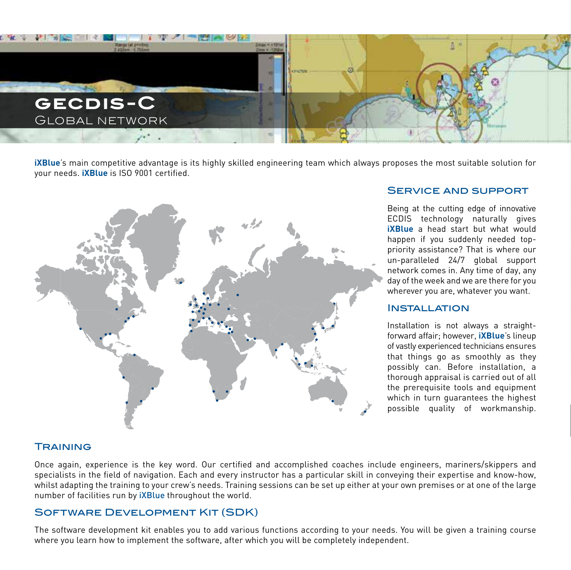

**iXBlue**'s main competitive advantage is its highly skilled engineering team which always proposes the most suitable solution for your needs. **iXBlue** is ISO 9001 certified.



## Service and support

Being at the cutting edge of innovative ECDIS technology naturally gives *iXBlue* a head start but what would happen if you suddenly needed toppriority assistance? That is where our un-paralleled 24/7 global support network comes in. Any time of day, any day of the week and we are there for you wherever you are, whatever you want.

## **INSTALLATION**

Installation is not always a straightforward affair; however, **iXBlue**'s lineup of vastly experienced technicians ensures that things go as smoothly as they possibly can. Before installation, a thorough appraisal is carried out of all the prerequisite tools and equipment which in turn guarantees the highest possible quality of workmanship.

## **TRAINING**

Once again, experience is the key word. Our certified and accomplished coaches include engineers, mariners/skippers and specialists in the field of navigation. Each and every instructor has a particular skill in conveying their expertise and know-how, whilst adapting the training to your crew's needs. Training sessions can be set up either at your own premises or at one of the large number of facilities run by iXBlue throughout the world.

## Software Development Kit (SDK)

The software development kit enables you to add various functions according to your needs. You will be given a training course where you learn how to implement the software, after which you will be completely independent.